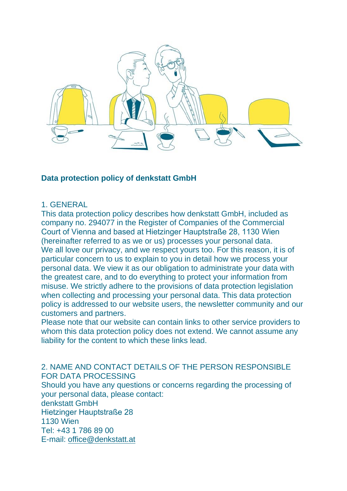

### **Data protection policy of denkstatt GmbH**

#### 1. GENERAL

This data protection policy describes how denkstatt GmbH, included as company no. 294077 in the Register of Companies of the Commercial Court of Vienna and based at Hietzinger Hauptstraße 28, 1130 Wien (hereinafter referred to as we or us) processes your personal data. We all love our privacy, and we respect yours too. For this reason, it is of particular concern to us to explain to you in detail how we process your personal data. We view it as our obligation to administrate your data with the greatest care, and to do everything to protect your information from misuse. We strictly adhere to the provisions of data protection legislation when collecting and processing your personal data. This data protection policy is addressed to our website users, the newsletter community and our customers and partners.

Please note that our website can contain links to other service providers to whom this data protection policy does not extend. We cannot assume any liability for the content to which these links lead.

2. NAME AND CONTACT DETAILS OF THE PERSON RESPONSIBLE FOR DATA PROCESSING

Should you have any questions or concerns regarding the processing of your personal data, please contact:

denkstatt GmbH

Hietzinger Hauptstraße 28

1130 Wien

Tel: +43 1 786 89 00

E-mail: [office@denkstatt.at](mailto:office@denkstatt.at)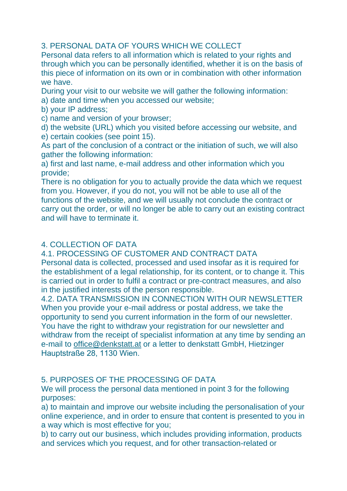# 3. PERSONAL DATA OF YOURS WHICH WE COLLECT

Personal data refers to all information which is related to your rights and through which you can be personally identified, whether it is on the basis of this piece of information on its own or in combination with other information we have.

During your visit to our website we will gather the following information: a) date and time when you accessed our website;

- b) your IP address;
- c) name and version of your browser;

d) the website (URL) which you visited before accessing our website, and e) certain cookies (see point 15).

As part of the conclusion of a contract or the initiation of such, we will also gather the following information:

a) first and last name, e-mail address and other information which you provide;

There is no obligation for you to actually provide the data which we request from you. However, if you do not, you will not be able to use all of the functions of the website, and we will usually not conclude the contract or carry out the order, or will no longer be able to carry out an existing contract and will have to terminate it.

## 4. COLLECTION OF DATA

4.1. PROCESSING OF CUSTOMER AND CONTRACT DATA

Personal data is collected, processed and used insofar as it is required for the establishment of a legal relationship, for its content, or to change it. This is carried out in order to fulfil a contract or pre-contract measures, and also in the justified interests of the person responsible.

4.2. DATA TRANSMISSION IN CONNECTION WITH OUR NEWSLETTER When you provide your e-mail address or postal address, we take the opportunity to send you current information in the form of our newsletter. You have the right to withdraw your registration for our newsletter and withdraw from the receipt of specialist information at any time by sending an e-mail to [office@denkstatt.at](mailto:office@denkstatt.at) or a letter to denkstatt GmbH, Hietzinger Hauptstraße 28, 1130 Wien.

# 5. PURPOSES OF THE PROCESSING OF DATA

We will process the personal data mentioned in point 3 for the following purposes:

a) to maintain and improve our website including the personalisation of your online experience, and in order to ensure that content is presented to you in a way which is most effective for you;

b) to carry out our business, which includes providing information, products and services which you request, and for other transaction-related or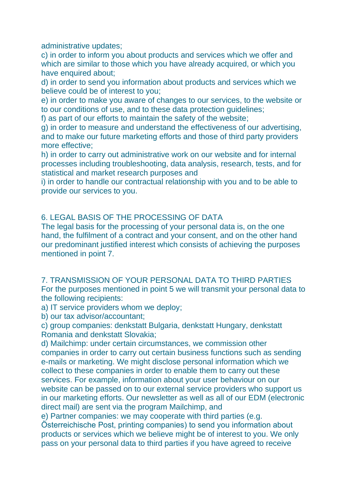administrative updates;

c) in order to inform you about products and services which we offer and which are similar to those which you have already acquired, or which you have enquired about;

d) in order to send you information about products and services which we believe could be of interest to you;

e) in order to make you aware of changes to our services, to the website or to our conditions of use, and to these data protection guidelines;

f) as part of our efforts to maintain the safety of the website;

g) in order to measure and understand the effectiveness of our advertising, and to make our future marketing efforts and those of third party providers more effective;

h) in order to carry out administrative work on our website and for internal processes including troubleshooting, data analysis, research, tests, and for statistical and market research purposes and

i) in order to handle our contractual relationship with you and to be able to provide our services to you.

# 6. LEGAL BASIS OF THE PROCESSING OF DATA

The legal basis for the processing of your personal data is, on the one hand, the fulfilment of a contract and your consent, and on the other hand our predominant justified interest which consists of achieving the purposes mentioned in point 7.

7. TRANSMISSION OF YOUR PERSONAL DATA TO THIRD PARTIES For the purposes mentioned in point 5 we will transmit your personal data to the following recipients:

a) IT service providers whom we deploy;

b) our tax advisor/accountant;

c) group companies: denkstatt Bulgaria, denkstatt Hungary, denkstatt Romania and denkstatt Slovakia;

d) Mailchimp: under certain circumstances, we commission other companies in order to carry out certain business functions such as sending e-mails or marketing. We might disclose personal information which we collect to these companies in order to enable them to carry out these services. For example, information about your user behaviour on our website can be passed on to our external service providers who support us in our marketing efforts. Our newsletter as well as all of our EDM (electronic direct mail) are sent via the program Mailchimp, and

e) Partner companies: we may cooperate with third parties (e.g.

Österreichische Post, printing companies) to send you information about products or services which we believe might be of interest to you. We only pass on your personal data to third parties if you have agreed to receive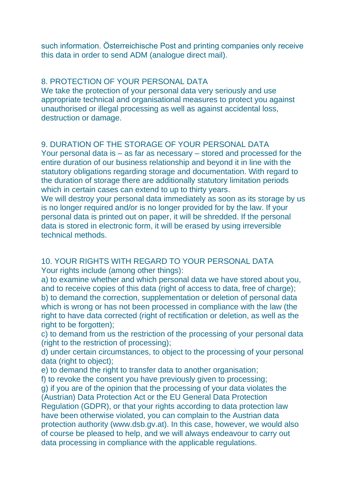such information. Österreichische Post and printing companies only receive this data in order to send ADM (analogue direct mail).

#### 8. PROTECTION OF YOUR PERSONAL DATA

We take the protection of your personal data very seriously and use appropriate technical and organisational measures to protect you against unauthorised or illegal processing as well as against accidental loss, destruction or damage.

#### 9. DURATION OF THE STORAGE OF YOUR PERSONAL DATA

Your personal data is – as far as necessary – stored and processed for the entire duration of our business relationship and beyond it in line with the statutory obligations regarding storage and documentation. With regard to the duration of storage there are additionally statutory limitation periods which in certain cases can extend to up to thirty years.

We will destroy your personal data immediately as soon as its storage by us is no longer required and/or is no longer provided for by the law. If your personal data is printed out on paper, it will be shredded. If the personal data is stored in electronic form, it will be erased by using irreversible technical methods.

10. YOUR RIGHTS WITH REGARD TO YOUR PERSONAL DATA Your rights include (among other things):

a) to examine whether and which personal data we have stored about you, and to receive copies of this data (right of access to data, free of charge); b) to demand the correction, supplementation or deletion of personal data which is wrong or has not been processed in compliance with the law (the right to have data corrected (right of rectification or deletion, as well as the right to be forgotten);

c) to demand from us the restriction of the processing of your personal data (right to the restriction of processing);

d) under certain circumstances, to object to the processing of your personal data (right to object);

e) to demand the right to transfer data to another organisation;

f) to revoke the consent you have previously given to processing;

g) if you are of the opinion that the processing of your data violates the (Austrian) Data Protection Act or the EU General Data Protection Regulation (GDPR), or that your rights according to data protection law have been otherwise violated, you can complain to the Austrian data

protection authority (www.dsb.gv.at). In this case, however, we would also of course be pleased to help, and we will always endeavour to carry out data processing in compliance with the applicable regulations.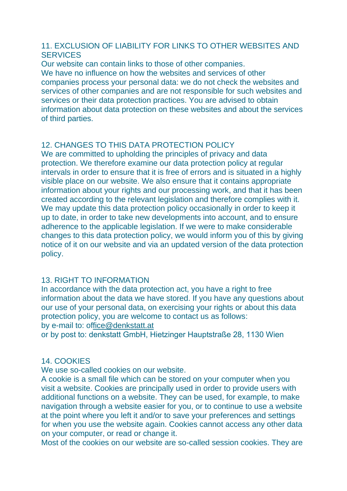### 11. EXCLUSION OF LIABILITY FOR LINKS TO OTHER WEBSITES AND **SERVICES**

Our website can contain links to those of other companies. We have no influence on how the websites and services of other companies process your personal data: we do not check the websites and services of other companies and are not responsible for such websites and services or their data protection practices. You are advised to obtain information about data protection on these websites and about the services of third parties.

### 12. CHANGES TO THIS DATA PROTECTION POLICY

We are committed to upholding the principles of privacy and data protection. We therefore examine our data protection policy at regular intervals in order to ensure that it is free of errors and is situated in a highly visible place on our website. We also ensure that it contains appropriate information about your rights and our processing work, and that it has been created according to the relevant legislation and therefore complies with it. We may update this data protection policy occasionally in order to keep it up to date, in order to take new developments into account, and to ensure adherence to the applicable legislation. If we were to make considerable changes to this data protection policy, we would inform you of this by giving notice of it on our website and via an updated version of the data protection policy.

#### 13. RIGHT TO INFORMATION

In accordance with the data protection act, you have a right to free information about the data we have stored. If you have any questions about our use of your personal data, on exercising your rights or about this data protection policy, you are welcome to contact us as follows: by e-mail to: o[ffice@denkstatt.at](mailto:fice@denkstatt.at)

or by post to: denkstatt GmbH, Hietzinger Hauptstraße 28, 1130 Wien

#### 14. COOKIES

We use so-called cookies on our website.

A cookie is a small file which can be stored on your computer when you visit a website. Cookies are principally used in order to provide users with additional functions on a website. They can be used, for example, to make navigation through a website easier for you, or to continue to use a website at the point where you left it and/or to save your preferences and settings for when you use the website again. Cookies cannot access any other data on your computer, or read or change it.

Most of the cookies on our website are so-called session cookies. They are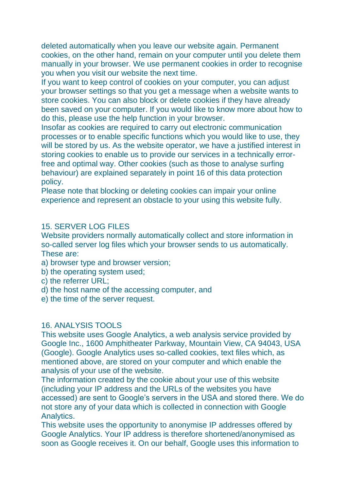deleted automatically when you leave our website again. Permanent cookies, on the other hand, remain on your computer until you delete them manually in your browser. We use permanent cookies in order to recognise you when you visit our website the next time.

If you want to keep control of cookies on your computer, you can adjust your browser settings so that you get a message when a website wants to store cookies. You can also block or delete cookies if they have already been saved on your computer. If you would like to know more about how to do this, please use the help function in your browser.

Insofar as cookies are required to carry out electronic communication processes or to enable specific functions which you would like to use, they will be stored by us. As the website operator, we have a justified interest in storing cookies to enable us to provide our services in a technically errorfree and optimal way. Other cookies (such as those to analyse surfing behaviour) are explained separately in point 16 of this data protection policy.

Please note that blocking or deleting cookies can impair your online experience and represent an obstacle to your using this website fully.

#### 15. SERVER LOG FILES

Website providers normally automatically collect and store information in so-called server log files which your browser sends to us automatically. These are:

- a) browser type and browser version;
- b) the operating system used;
- c) the referrer URL;
- d) the host name of the accessing computer, and
- e) the time of the server request.

#### 16. ANALYSIS TOOLS

This website uses Google Analytics, a web analysis service provided by Google Inc., 1600 Amphitheater Parkway, Mountain View, CA 94043, USA (Google). Google Analytics uses so-called cookies, text files which, as mentioned above, are stored on your computer and which enable the analysis of your use of the website.

The information created by the cookie about your use of this website (including your IP address and the URLs of the websites you have accessed) are sent to Google's servers in the USA and stored there. We do not store any of your data which is collected in connection with Google Analytics.

This website uses the opportunity to anonymise IP addresses offered by Google Analytics. Your IP address is therefore shortened/anonymised as soon as Google receives it. On our behalf, Google uses this information to